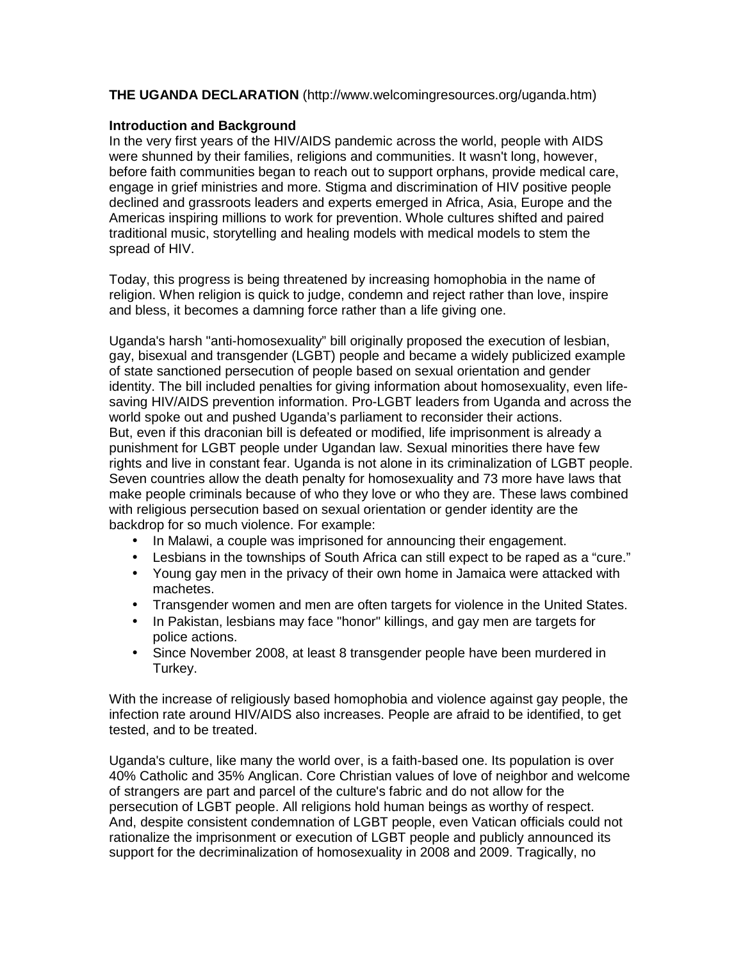## **THE UGANDA DECLARATION** (http://www.welcomingresources.org/uganda.htm)

## **Introduction and Background**

In the very first years of the HIV/AIDS pandemic across the world, people with AIDS were shunned by their families, religions and communities. It wasn't long, however, before faith communities began to reach out to support orphans, provide medical care, engage in grief ministries and more. Stigma and discrimination of HIV positive people declined and grassroots leaders and experts emerged in Africa, Asia, Europe and the Americas inspiring millions to work for prevention. Whole cultures shifted and paired traditional music, storytelling and healing models with medical models to stem the spread of HIV.

Today, this progress is being threatened by increasing homophobia in the name of religion. When religion is quick to judge, condemn and reject rather than love, inspire and bless, it becomes a damning force rather than a life giving one.

Uganda's harsh "anti-homosexuality" bill originally proposed the execution of lesbian, gay, bisexual and transgender (LGBT) people and became a widely publicized example of state sanctioned persecution of people based on sexual orientation and gender identity. The bill included penalties for giving information about homosexuality, even lifesaving HIV/AIDS prevention information. Pro-LGBT leaders from Uganda and across the world spoke out and pushed Uganda's parliament to reconsider their actions. But, even if this draconian bill is defeated or modified, life imprisonment is already a punishment for LGBT people under Ugandan law. Sexual minorities there have few rights and live in constant fear. Uganda is not alone in its criminalization of LGBT people. Seven countries allow the death penalty for homosexuality and 73 more have laws that make people criminals because of who they love or who they are. These laws combined with religious persecution based on sexual orientation or gender identity are the backdrop for so much violence. For example:

- In Malawi, a couple was imprisoned for announcing their engagement.
- Lesbians in the townships of South Africa can still expect to be raped as a "cure."
- Young gay men in the privacy of their own home in Jamaica were attacked with machetes.
- Transgender women and men are often targets for violence in the United States.
- In Pakistan, lesbians may face "honor" killings, and gay men are targets for police actions.
- Since November 2008, at least 8 transgender people have been murdered in Turkey.

With the increase of religiously based homophobia and violence against gay people, the infection rate around HIV/AIDS also increases. People are afraid to be identified, to get tested, and to be treated.

Uganda's culture, like many the world over, is a faith-based one. Its population is over 40% Catholic and 35% Anglican. Core Christian values of love of neighbor and welcome of strangers are part and parcel of the culture's fabric and do not allow for the persecution of LGBT people. All religions hold human beings as worthy of respect. And, despite consistent condemnation of LGBT people, even Vatican officials could not rationalize the imprisonment or execution of LGBT people and publicly announced its support for the decriminalization of homosexuality in 2008 and 2009. Tragically, no